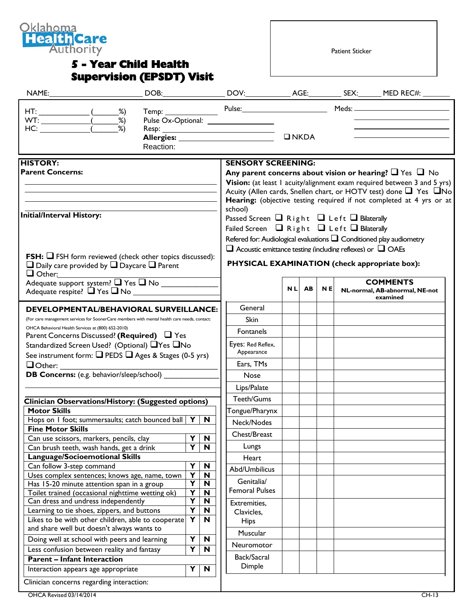

## **5 - Year Child Health Supervision (EPSDT) Visit**

Patient Sticker

| NAME: A CONTROLLER WAS ARRESTED FOR A STRUCK.                                                                    |         |           |                         |                                                                      |                                                                             |                |    |           |  |                                                                         |
|------------------------------------------------------------------------------------------------------------------|---------|-----------|-------------------------|----------------------------------------------------------------------|-----------------------------------------------------------------------------|----------------|----|-----------|--|-------------------------------------------------------------------------|
| $HT:$ $($ $\% )$                                                                                                 |         |           |                         |                                                                      | Temp: Pulse: Pulse:                                                         |                |    |           |  |                                                                         |
| $WT:$ $\begin{array}{ccc}\n & \circ & \circ & \circ & \circ\n\end{array}$                                        |         |           |                         |                                                                      | Pulse Ox-Optional:                                                          |                |    |           |  |                                                                         |
| $HC:$ $\overline{C}$                                                                                             | -<br>%) |           |                         |                                                                      |                                                                             |                |    |           |  |                                                                         |
| Allergies: __________________________                                                                            |         |           |                         |                                                                      | $\n  INKDA\n$                                                               |                |    |           |  |                                                                         |
|                                                                                                                  |         | Reaction: |                         |                                                                      |                                                                             |                |    |           |  |                                                                         |
| <b>HISTORY:</b>                                                                                                  |         |           |                         |                                                                      | <b>SENSORY SCREENING:</b>                                                   |                |    |           |  |                                                                         |
| <b>Parent Concerns:</b>                                                                                          |         |           |                         | Any parent concerns about vision or hearing? $\Box$ Yes $\Box$ No    |                                                                             |                |    |           |  |                                                                         |
|                                                                                                                  |         |           |                         |                                                                      |                                                                             |                |    |           |  | Vision: (at least I acuity/alignment exam required between 3 and 5 yrs) |
|                                                                                                                  |         |           |                         |                                                                      |                                                                             |                |    |           |  | Acuity (Allen cards, Snellen chart, or HOTV test) done T Yes TNo        |
|                                                                                                                  |         |           |                         |                                                                      |                                                                             |                |    |           |  | Hearing: (objective testing required if not completed at 4 yrs or at    |
| Initial/Interval History:                                                                                        |         |           |                         | school)<br>Passed Screen $\Box$ Right $\Box$ Left $\Box$ Bilaterally |                                                                             |                |    |           |  |                                                                         |
|                                                                                                                  |         |           |                         |                                                                      |                                                                             |                |    |           |  |                                                                         |
|                                                                                                                  |         |           |                         |                                                                      | Refered for: Audiological evaluations $\square$ Conditioned play audiometry |                |    |           |  |                                                                         |
|                                                                                                                  |         |           |                         |                                                                      | $\square$ Acoustic emittance testing (including reflexes) or $\square$ OAEs |                |    |           |  |                                                                         |
| <b>FSH:</b> $\Box$ FSH form reviewed (check other topics discussed):                                             |         |           |                         | PHYSICAL EXAMINATION (check appropriate box):                        |                                                                             |                |    |           |  |                                                                         |
| $\Box$ Daily care provided by $\Box$ Daycare $\Box$ Parent                                                       |         |           |                         |                                                                      |                                                                             |                |    |           |  |                                                                         |
| □ Other:<br>Adequate support system? □ Yes □ No _____________                                                    |         |           |                         |                                                                      |                                                                             |                |    |           |  | <b>COMMENTS</b>                                                         |
|                                                                                                                  |         |           |                         |                                                                      |                                                                             | N <sub>L</sub> | AB | <b>NE</b> |  | NL-normal, AB-abnormal, NE-not                                          |
|                                                                                                                  |         |           |                         |                                                                      |                                                                             |                |    |           |  | examined                                                                |
| <b>DEVELOPMENTAL/BEHAVIORAL SURVEILLANCE:</b>                                                                    |         |           |                         |                                                                      | General                                                                     |                |    |           |  |                                                                         |
| (For care management services for SoonerCare members with mental health care needs, contact:                     |         |           |                         |                                                                      | Skin                                                                        |                |    |           |  |                                                                         |
| OHCA Behavioral Health Services at (800) 652-2010)                                                               |         |           |                         |                                                                      | <b>Fontanels</b>                                                            |                |    |           |  |                                                                         |
| Parent Concerns Discussed? (Required) $\Box$ Yes                                                                 |         |           |                         |                                                                      |                                                                             |                |    |           |  |                                                                         |
| Standardized Screen Used? (Optional) □Yes □No                                                                    |         |           |                         | Eyes: Red Reflex,<br>Appearance                                      |                                                                             |                |    |           |  |                                                                         |
| See instrument form: Q PEDS Q Ages & Stages (0-5 yrs)                                                            |         |           |                         |                                                                      |                                                                             |                |    |           |  |                                                                         |
| <b>DB Concerns:</b> (e.g. behavior/sleep/school)                                                                 |         |           |                         | Ears, TMs                                                            |                                                                             |                |    |           |  |                                                                         |
|                                                                                                                  |         |           |                         | <b>Nose</b>                                                          |                                                                             |                |    |           |  |                                                                         |
|                                                                                                                  |         |           |                         |                                                                      | Lips/Palate                                                                 |                |    |           |  |                                                                         |
| <b>Clinician Observations/History: (Suggested options)</b>                                                       |         |           |                         | Teeth/Gums                                                           |                                                                             |                |    |           |  |                                                                         |
| <b>Motor Skills</b>                                                                                              |         |           |                         | Tongue/Pharynx                                                       |                                                                             |                |    |           |  |                                                                         |
| Hops on 1 foot; summersaults; catch bounced ball $\ \mathbf{Y}\  \mathbf{N}$                                     |         |           |                         |                                                                      | Neck/Nodes                                                                  |                |    |           |  |                                                                         |
| <b>Fine Motor Skills</b>                                                                                         |         |           |                         |                                                                      | Chest/Breast                                                                |                |    |           |  |                                                                         |
| Can use scissors, markers, pencils, clay                                                                         |         |           | Y                       | N                                                                    |                                                                             |                |    |           |  |                                                                         |
| Can brush teeth, wash hands, get a drink                                                                         |         |           | Y                       | N                                                                    | Lungs                                                                       |                |    |           |  |                                                                         |
| <b>Language/Socioemotional Skills</b>                                                                            |         |           |                         |                                                                      | Heart                                                                       |                |    |           |  |                                                                         |
| Can follow 3-step command                                                                                        |         |           | Y                       | N                                                                    | Abd/Umbilicus                                                               |                |    |           |  |                                                                         |
| Uses complex sentences; knows age, name, town                                                                    |         |           | $\overline{\mathbf{Y}}$ | $\mathbf N$                                                          | Genitalia/                                                                  |                |    |           |  |                                                                         |
| Has 15-20 minute attention span in a group                                                                       |         |           | Y                       | N                                                                    | <b>Femoral Pulses</b>                                                       |                |    |           |  |                                                                         |
| Toilet trained (occasional nighttime wetting ok)                                                                 |         |           | Y<br>Y                  | N                                                                    |                                                                             |                |    |           |  |                                                                         |
| Can dress and undress independently                                                                              |         |           | Y                       | N                                                                    | Extremities,                                                                |                |    |           |  |                                                                         |
| Learning to tie shoes, zippers, and buttons<br>N<br>Likes to be with other children, able to cooperate<br>Y<br>N |         |           | Clavicles,              |                                                                      |                                                                             |                |    |           |  |                                                                         |
| and share well but doesn't always wants to                                                                       |         |           |                         |                                                                      | <b>Hips</b>                                                                 |                |    |           |  |                                                                         |
|                                                                                                                  |         |           | Y                       |                                                                      | Muscular                                                                    |                |    |           |  |                                                                         |
| Doing well at school with peers and learning                                                                     |         |           |                         | $\mathbf N$                                                          | Neuromotor                                                                  |                |    |           |  |                                                                         |
| $\overline{\mathbf{Y}}$<br>$\mathbf N$<br>Less confusion between reality and fantasy                             |         |           |                         | Back/Sacral                                                          |                                                                             |                |    |           |  |                                                                         |
| <b>Parent - Infant Interaction</b>                                                                               |         |           |                         | Dimple                                                               |                                                                             |                |    |           |  |                                                                         |
| Interaction appears age appropriate                                                                              |         |           | Y                       | $\mathbf N$                                                          |                                                                             |                |    |           |  |                                                                         |
| Clinician concerns regarding interaction:                                                                        |         |           |                         |                                                                      |                                                                             |                |    |           |  |                                                                         |